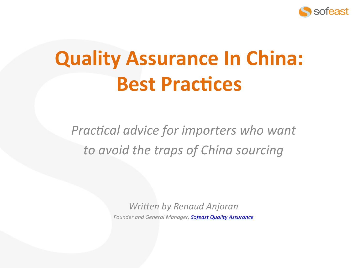

# **Quality Assurance In China: Best Practices**

Practical advice for importers who want to avoid the traps of China sourcing

> **Written by Renaud Anjoran** Founder and General Manager, Sofeast Quality Assurance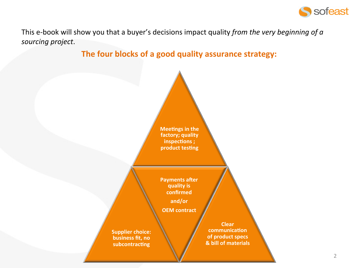

This e-book will show you that a buyer's decisions impact quality *from the very beginning of a sourcing'project*.!!

# The four blocks of a good quality assurance strategy:

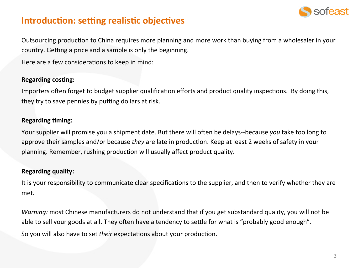

## **Introduction: setting realistic objectives**

Outsourcing production to China requires more planning and more work than buying from a wholesaler in your country. Getting a price and a sample is only the beginning.

Here are a few considerations to keep in mind:

#### **Regarding costing:**

Importers often forget to budget supplier qualification efforts and product quality inspections. By doing this, they try to save pennies by putting dollars at risk.

## **Regarding timing:**

Your supplier will promise you a shipment date. But there will often be delays--because you take too long to approve their samples and/or because they are late in production. Keep at least 2 weeks of safety in your planning. Remember, rushing production will usually affect product quality.

## **Regarding quality:**

It is your responsibility to communicate clear specifications to the supplier, and then to verify whether they are met.

Warning: most Chinese manufacturers do not understand that if you get substandard quality, you will not be able to sell your goods at all. They often have a tendency to settle for what is "probably good enough". So you will also have to set their expectations about your production.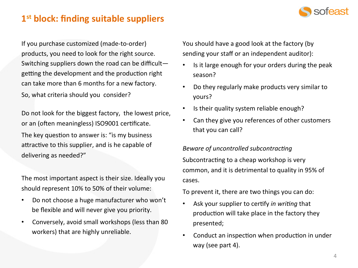

# 1<sup>st</sup> block: finding suitable suppliers

If you purchase customized (made-to-order) products, you need to look for the right source. Switching suppliers down the road can be difficultgetting the development and the production right can take more than 6 months for a new factory. So, what criteria should you consider?

Do not look for the biggest factory, the lowest price, or an (often meaningless) ISO9001 certificate. The key question to answer is: "is my business attractive to this supplier, and is he capable of delivering as needed?"

The most important aspect is their size. Ideally you should represent 10% to 50% of their volume:

- Do not choose a huge manufacturer who won't  $\bullet$ be flexible and will never give you priority.
- Conversely, avoid small workshops (less than 80  $\bullet$ workers) that are highly unreliable.

You should have a good look at the factory (by sending your staff or an independent auditor):

- Is it large enough for your orders during the peak  $\bullet$ season?
- Do they regularly make products very similar to  $\bullet$ yours?
- Is their quality system reliable enough?  $\bullet$
- Can they give you references of other customers that you can call?

#### Beware of uncontrolled subcontracting

Subcontracting to a cheap workshop is very common, and it is detrimental to quality in 95% of cases.

To prevent it, there are two things you can do:

- Ask your supplier to certify in writing that  $\bullet$ production will take place in the factory they presented;
- Conduct an inspection when production in under  $\bullet$ way (see part 4).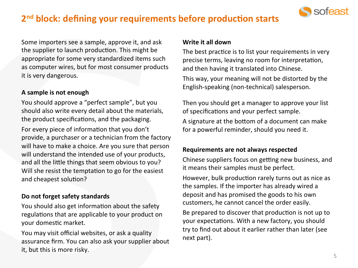# 2<sup>nd</sup> block: defining your requirements before production starts



Some importers see a sample, approve it, and ask the supplier to launch production. This might be appropriate for some very standardized items such as computer wires, but for most consumer products it is very dangerous.

## A sample is not enough

You should approve a "perfect sample", but you should also write every detail about the materials, the product specifications, and the packaging. For every piece of information that you don't provide, a purchaser or a technician from the factory will have to make a choice. Are you sure that person will understand the intended use of your products, and all the little things that seem obvious to you? Will she resist the temptation to go for the easiest and cheapest solution?

## **Do not forget safety standards**

You should also get information about the safety regulations that are applicable to your product on your domestic market.

You may visit official websites, or ask a quality assurance firm. You can also ask your supplier about it, but this is more risky.

#### **Write it all down**

The best practice is to list your requirements in very precise terms, leaving no room for interpretation, and then having it translated into Chinese.

This way, your meaning will not be distorted by the English-speaking (non-technical) salesperson.

Then you should get a manager to approve your list of specifications and your perfect sample.

A signature at the bottom of a document can make for a powerful reminder, should you need it.

## **Requirements are not always respected**

Chinese suppliers focus on getting new business, and it means their samples must be perfect.

However, bulk production rarely turns out as nice as the samples. If the importer has already wired a deposit and has promised the goods to his own customers, he cannot cancel the order easily.

Be prepared to discover that production is not up to your expectations. With a new factory, you should try to find out about it earlier rather than later (see next part).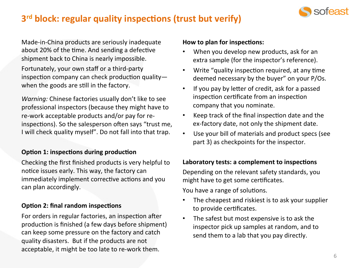

# 3<sup>rd</sup> block: regular quality inspections (trust but verify)

Made-in-China products are seriously inadequate about 20% of the time. And sending a defective shipment back to China is nearly impossible.

Fortunately, your own staff or a third-party inspection company can check production quality when the goods are still in the factory.

*Warning:* Chinese factories usually don't like to see professional inspectors (because they might have to re-work acceptable products and/or pay for reinspections). So the salesperson often says "trust me, I will check quality myself". Do not fall into that trap.

## **Option 1: inspections during production**

Checking the first finished products is very helpful to notice issues early. This way, the factory can immediately implement corrective actions and you can plan accordingly.

## **Option 2: final random inspections**

For orders in regular factories, an inspection after production is finished (a few days before shipment) can keep some pressure on the factory and catch quality disasters. But if the products are not acceptable, it might be too late to re-work them.

#### How to plan for inspections:

- When you develop new products, ask for an extra sample (for the inspector's reference).
- Write "quality inspection required, at any time deemed necessary by the buyer" on your P/Os.
- If you pay by letter of credit, ask for a passed inspection certificate from an inspection company that you nominate.
- Keep track of the final inspection date and the ex-factory date, not only the shipment date.
- Use your bill of materials and product specs (see part 3) as checkpoints for the inspector.

## Laboratory tests: a complement to inspections

Depending on the relevant safety standards, you might have to get some certificates.

You have a range of solutions.

- The cheapest and riskiest is to ask your supplier to provide certificates.
- The safest but most expensive is to ask the inspector pick up samples at random, and to send them to a lab that you pay directly.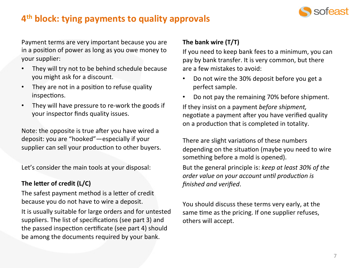

# 4<sup>th</sup> block: tying payments to quality approvals

Payment terms are very important because you are in a position of power as long as you owe money to your supplier:

- They will try not to be behind schedule because you might ask for a discount.
- They are not in a position to refuse quality inspections.
- They will have pressure to re-work the goods if your inspector finds quality issues.

Note: the opposite is true after you have wired a deposit: you are "hooked"—especially if your supplier can sell your production to other buyers.

Let's consider the main tools at your disposal:

## The letter of credit (L/C)

The safest payment method is a letter of credit because you do not have to wire a deposit. It is usually suitable for large orders and for untested suppliers. The list of specifications (see part 3) and the passed inspection certificate (see part 4) should be among the documents required by your bank.

## The bank wire (T/T)

If you need to keep bank fees to a minimum, you can pay by bank transfer. It is very common, but there are a few mistakes to avoid:

- Do not wire the 30% deposit before you get a perfect sample.
- Do not pay the remaining 70% before shipment. If they insist on a payment *before shipment*, negotiate a payment after you have verified quality on a production that is completed in totality.

There are slight variations of these numbers depending on the situation (maybe you need to wire something before a mold is opened).

But the general principle is: *keep at least 30% of the* order value on your account until production is *finished'and'verified*.!

You should discuss these terms very early, at the same time as the pricing. If one supplier refuses, others will accept.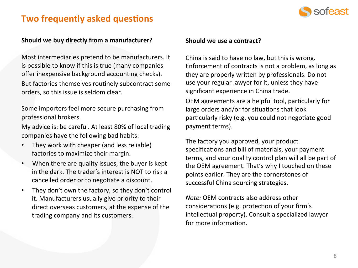# **Two frequently asked questions**



#### Should we buy directly from a manufacturer?

Most intermediaries pretend to be manufacturers. It is possible to know if this is true (many companies offer inexpensive background accounting checks). But factories themselves routinely subcontract some orders, so this issue is seldom clear.

Some importers feel more secure purchasing from professional brokers.

My advice is: be careful. At least 80% of local trading companies have the following bad habits:

- They work with cheaper (and less reliable) factories to maximize their margin.
- When there are quality issues, the buyer is kept in the dark. The trader's interest is NOT to risk a cancelled order or to negotiate a discount.
- They don't own the factory, so they don't control it. Manufacturers usually give priority to their direct overseas customers, at the expense of the trading company and its customers.

#### Should we use a contract?

China is said to have no law, but this is wrong. Enforcement of contracts is not a problem, as long as they are properly written by professionals. Do not use your regular lawyer for it, unless they have significant experience in China trade.

OEM agreements are a helpful tool, particularly for large orders and/or for situations that look particularly risky (e.g. you could not negotiate good payment terms).

The factory you approved, your product specifications and bill of materials, your payment terms, and your quality control plan will all be part of the OEM agreement. That's why I touched on these points earlier. They are the cornerstones of successful China sourcing strategies.

*Note:* OEM contracts also address other considerations (e.g. protection of your firm's intellectual property). Consult a specialized lawyer for more information.